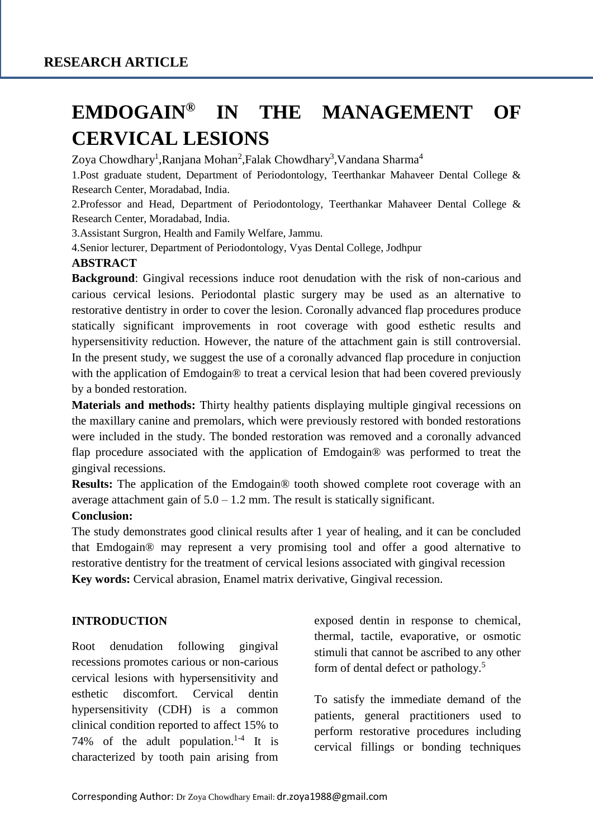# **EMDOGAIN® IN THE MANAGEMENT OF CERVICAL LESIONS**

Zoya Chowdhary<sup>1</sup>,Ranjana Mohan<sup>2</sup>,Falak Chowdhary<sup>3</sup>,Vandana Sharma<sup>4</sup>

1.Post graduate student, Department of Periodontology, Teerthankar Mahaveer Dental College & Research Center, Moradabad, India.

2.Professor and Head, Department of Periodontology, Teerthankar Mahaveer Dental College & Research Center, Moradabad, India.

3.Assistant Surgron, Health and Family Welfare, Jammu.

4.Senior lecturer, Department of Periodontology, Vyas Dental College, Jodhpur

#### **ABSTRACT**

**Background**: Gingival recessions induce root denudation with the risk of non-carious and carious cervical lesions. Periodontal plastic surgery may be used as an alternative to restorative dentistry in order to cover the lesion. Coronally advanced flap procedures produce statically significant improvements in root coverage with good esthetic results and hypersensitivity reduction. However, the nature of the attachment gain is still controversial. In the present study, we suggest the use of a coronally advanced flap procedure in conjuction with the application of Emdogain® to treat a cervical lesion that had been covered previously by a bonded restoration.

**Materials and methods:** Thirty healthy patients displaying multiple gingival recessions on the maxillary canine and premolars, which were previously restored with bonded restorations were included in the study. The bonded restoration was removed and a coronally advanced flap procedure associated with the application of Emdogain® was performed to treat the gingival recessions.

**Results:** The application of the Emdogain® tooth showed complete root coverage with an average attachment gain of  $5.0 - 1.2$  mm. The result is statically significant.

#### **Conclusion:**

The study demonstrates good clinical results after 1 year of healing, and it can be concluded that Emdogain® may represent a very promising tool and offer a good alternative to restorative dentistry for the treatment of cervical lesions associated with gingival recession **Key words:** Cervical abrasion, Enamel matrix derivative, Gingival recession.

#### **INTRODUCTION**

Root denudation following gingival recessions promotes carious or non-carious cervical lesions with hypersensitivity and esthetic discomfort. Cervical dentin hypersensitivity (CDH) is a common clinical condition reported to affect 15% to 74% of the adult population.<sup>1-4</sup> It is characterized by tooth pain arising from exposed dentin in response to chemical, thermal, tactile, evaporative, or osmotic stimuli that cannot be ascribed to any other form of dental defect or pathology.<sup>5</sup>

To satisfy the immediate demand of the patients, general practitioners used to perform restorative procedures including cervical fillings or bonding techniques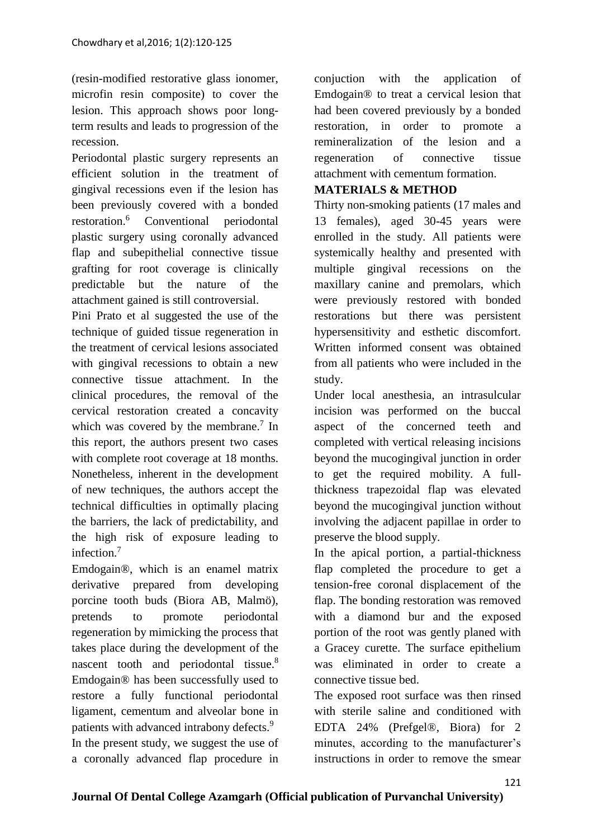(resin-modified restorative glass ionomer, microfin resin composite) to cover the lesion. This approach shows poor longterm results and leads to progression of the recession.

Periodontal plastic surgery represents an efficient solution in the treatment of gingival recessions even if the lesion has been previously covered with a bonded restoration.<sup>6</sup> Conventional periodontal plastic surgery using coronally advanced flap and subepithelial connective tissue grafting for root coverage is clinically predictable but the nature of the attachment gained is still controversial.

Pini Prato et al suggested the use of the technique of guided tissue regeneration in the treatment of cervical lesions associated with gingival recessions to obtain a new connective tissue attachment. In the clinical procedures, the removal of the cervical restoration created a concavity which was covered by the membrane. $\frac{7}{1}$  In this report, the authors present two cases with complete root coverage at 18 months. Nonetheless, inherent in the development of new techniques, the authors accept the technical difficulties in optimally placing the barriers, the lack of predictability, and the high risk of exposure leading to infection.<sup>7</sup>

Emdogain®, which is an enamel matrix derivative prepared from developing porcine tooth buds (Biora AB, Malmö), pretends to promote periodontal regeneration by mimicking the process that takes place during the development of the nascent tooth and periodontal tissue.<sup>8</sup> Emdogain® has been successfully used to restore a fully functional periodontal ligament, cementum and alveolar bone in patients with advanced intrabony defects.<sup>9</sup> In the present study, we suggest the use of a coronally advanced flap procedure in conjuction with the application of Emdogain® to treat a cervical lesion that had been covered previously by a bonded restoration, in order to promote a remineralization of the lesion and a regeneration of connective tissue attachment with cementum formation.

#### **MATERIALS & METHOD**

Thirty non-smoking patients (17 males and 13 females), aged 30-45 years were enrolled in the study. All patients were systemically healthy and presented with multiple gingival recessions on the maxillary canine and premolars, which were previously restored with bonded restorations but there was persistent hypersensitivity and esthetic discomfort. Written informed consent was obtained from all patients who were included in the study.

Under local anesthesia, an intrasulcular incision was performed on the buccal aspect of the concerned teeth and completed with vertical releasing incisions beyond the mucogingival junction in order to get the required mobility. A fullthickness trapezoidal flap was elevated beyond the mucogingival junction without involving the adjacent papillae in order to preserve the blood supply.

In the apical portion, a partial-thickness flap completed the procedure to get a tension-free coronal displacement of the flap. The bonding restoration was removed with a diamond bur and the exposed portion of the root was gently planed with a Gracey curette. The surface epithelium was eliminated in order to create a connective tissue bed.

The exposed root surface was then rinsed with sterile saline and conditioned with EDTA 24% (Prefgel®, Biora) for 2 minutes, according to the manufacturer's instructions in order to remove the smear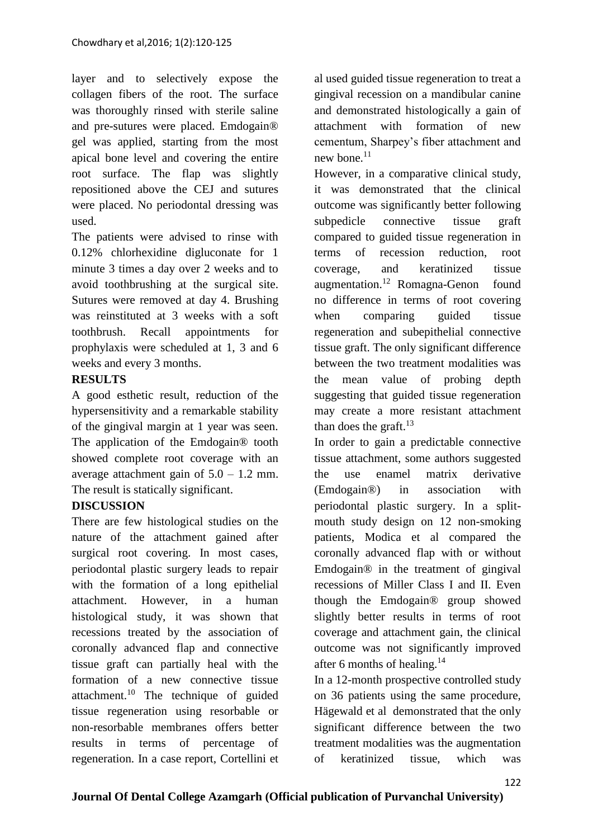layer and to selectively expose the collagen fibers of the root. The surface was thoroughly rinsed with sterile saline and pre-sutures were placed. Emdogain® gel was applied, starting from the most apical bone level and covering the entire root surface. The flap was slightly repositioned above the CEJ and sutures were placed. No periodontal dressing was used.

The patients were advised to rinse with 0.12% chlorhexidine digluconate for 1 minute 3 times a day over 2 weeks and to avoid toothbrushing at the surgical site. Sutures were removed at day 4. Brushing was reinstituted at 3 weeks with a soft toothbrush. Recall appointments for prophylaxis were scheduled at 1, 3 and 6 weeks and every 3 months.

## **RESULTS**

A good esthetic result, reduction of the hypersensitivity and a remarkable stability of the gingival margin at 1 year was seen. The application of the Emdogain® tooth showed complete root coverage with an average attachment gain of  $5.0 - 1.2$  mm. The result is statically significant.

# **DISCUSSION**

There are few histological studies on the nature of the attachment gained after surgical root covering. In most cases, periodontal plastic surgery leads to repair with the formation of a long epithelial attachment. However, in a human histological study, it was shown that recessions treated by the association of coronally advanced flap and connective tissue graft can partially heal with the formation of a new connective tissue attachment.<sup>10</sup> The technique of guided tissue regeneration using resorbable or non-resorbable membranes offers better results in terms of percentage of regeneration. In a case report, Cortellini et al used guided tissue regeneration to treat a gingival recession on a mandibular canine and demonstrated histologically a gain of attachment with formation of new cementum, Sharpey's fiber attachment and new hone. $11$ 

However, in a comparative clinical study, it was demonstrated that the clinical outcome was significantly better following subpedicle connective tissue graft compared to guided tissue regeneration in terms of recession reduction, root coverage, and keratinized tissue augmentation.<sup>12</sup> Romagna-Genon found no difference in terms of root covering when comparing guided tissue regeneration and subepithelial connective tissue graft. The only significant difference between the two treatment modalities was the mean value of probing depth suggesting that guided tissue regeneration may create a more resistant attachment than does the graft. $^{13}$ 

In order to gain a predictable connective tissue attachment, some authors suggested the use enamel matrix derivative (Emdogain®) in association with periodontal plastic surgery. In a splitmouth study design on 12 non-smoking patients, Modica et al compared the coronally advanced flap with or without Emdogain® in the treatment of gingival recessions of Miller Class I and II. Even though the Emdogain® group showed slightly better results in terms of root coverage and attachment gain, the clinical outcome was not significantly improved after 6 months of healing.<sup>14</sup>

In a 12-month prospective controlled study on 36 patients using the same procedure, Hägewald et al demonstrated that the only significant difference between the two treatment modalities was the augmentation of keratinized tissue, which was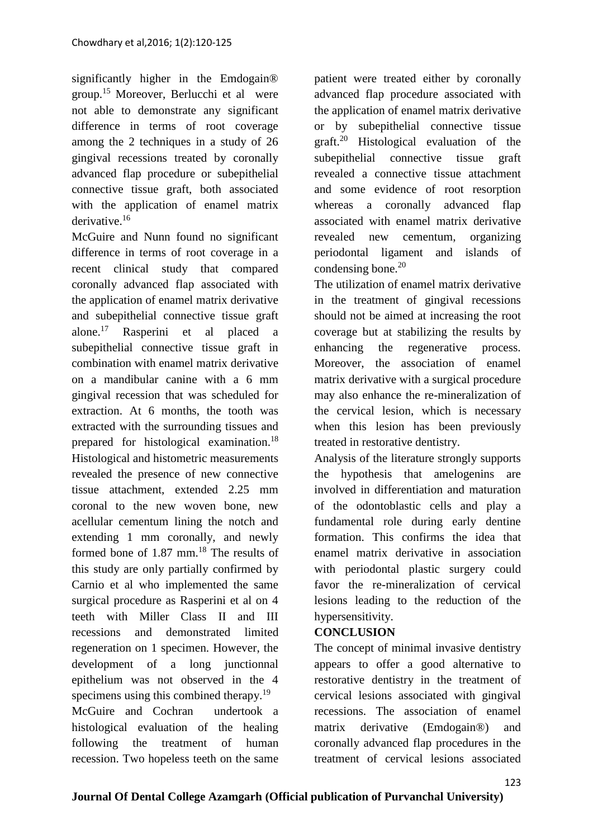significantly higher in the Emdogain® group.<sup>15</sup> Moreover, Berlucchi et al were not able to demonstrate any significant difference in terms of root coverage among the 2 techniques in a study of 26 gingival recessions treated by coronally advanced flap procedure or subepithelial connective tissue graft, both associated with the application of enamel matrix derivative.<sup>16</sup>

McGuire and Nunn found no significant difference in terms of root coverage in a recent clinical study that compared coronally advanced flap associated with the application of enamel matrix derivative and subepithelial connective tissue graft alone.<sup>17</sup> Rasperini et al placed a subepithelial connective tissue graft in combination with enamel matrix derivative on a mandibular canine with a 6 mm gingival recession that was scheduled for extraction. At 6 months, the tooth was extracted with the surrounding tissues and prepared for histological examination.<sup>18</sup> Histological and histometric measurements revealed the presence of new connective tissue attachment, extended 2.25 mm coronal to the new woven bone, new acellular cementum lining the notch and extending 1 mm coronally, and newly formed bone of  $1.87$  mm.<sup>18</sup> The results of this study are only partially confirmed by Carnio et al who implemented the same surgical procedure as Rasperini et al on 4 teeth with Miller Class II and III recessions and demonstrated limited regeneration on 1 specimen. However, the development of a long junctionnal epithelium was not observed in the 4 specimens using this combined therapy.<sup>19</sup> McGuire and Cochran undertook a histological evaluation of the healing following the treatment of human recession. Two hopeless teeth on the same

patient were treated either by coronally advanced flap procedure associated with the application of enamel matrix derivative or by subepithelial connective tissue graft.<sup>20</sup> Histological evaluation of the subepithelial connective tissue graft revealed a connective tissue attachment and some evidence of root resorption whereas a coronally advanced flap associated with enamel matrix derivative revealed new cementum, organizing periodontal ligament and islands of condensing bone.<sup>20</sup>

The utilization of enamel matrix derivative in the treatment of gingival recessions should not be aimed at increasing the root coverage but at stabilizing the results by enhancing the regenerative process. Moreover, the association of enamel matrix derivative with a surgical procedure may also enhance the re-mineralization of the cervical lesion, which is necessary when this lesion has been previously treated in restorative dentistry.

Analysis of the literature strongly supports the hypothesis that amelogenins are involved in differentiation and maturation of the odontoblastic cells and play a fundamental role during early dentine formation. This confirms the idea that enamel matrix derivative in association with periodontal plastic surgery could favor the re-mineralization of cervical lesions leading to the reduction of the hypersensitivity.

### **CONCLUSION**

The concept of minimal invasive dentistry appears to offer a good alternative to restorative dentistry in the treatment of cervical lesions associated with gingival recessions. The association of enamel matrix derivative (Emdogain®) and coronally advanced flap procedures in the treatment of cervical lesions associated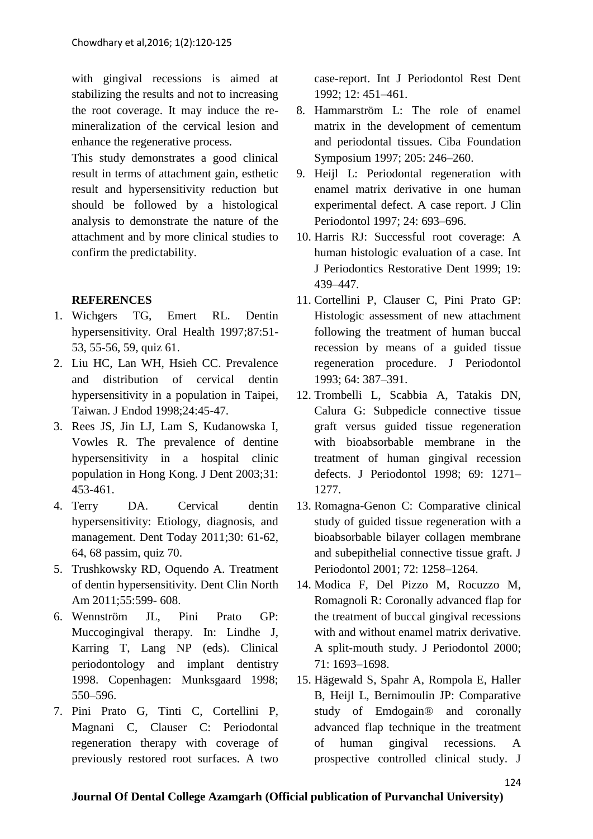with gingival recessions is aimed at stabilizing the results and not to increasing the root coverage. It may induce the remineralization of the cervical lesion and enhance the regenerative process.

This study demonstrates a good clinical result in terms of attachment gain, esthetic result and hypersensitivity reduction but should be followed by a histological analysis to demonstrate the nature of the attachment and by more clinical studies to confirm the predictability.

### **REFERENCES**

- 1. Wichgers TG, Emert RL. Dentin hypersensitivity. Oral Health 1997;87:51- 53, 55-56, 59, quiz 61.
- 2. Liu HC, Lan WH, Hsieh CC. Prevalence and distribution of cervical dentin hypersensitivity in a population in Taipei, Taiwan. J Endod 1998;24:45-47.
- 3. Rees JS, Jin LJ, Lam S, Kudanowska I, Vowles R. The prevalence of dentine hypersensitivity in a hospital clinic population in Hong Kong. J Dent 2003;31: 453-461.
- 4. Terry DA. Cervical dentin hypersensitivity: Etiology, diagnosis, and management. Dent Today 2011;30: 61-62, 64, 68 passim, quiz 70.
- 5. Trushkowsky RD, Oquendo A. Treatment of dentin hypersensitivity. Dent Clin North Am 2011;55:599- 608.
- 6. Wennström JL, Pini Prato GP: Muccogingival therapy. In: Lindhe J, Karring T, Lang NP (eds). Clinical periodontology and implant dentistry 1998. Copenhagen: Munksgaard 1998; 550–596.
- 7. Pini Prato G, Tinti C, Cortellini P, Magnani C, Clauser C: Periodontal regeneration therapy with coverage of previously restored root surfaces. A two

case-report. Int J Periodontol Rest Dent 1992; 12: 451–461.

- 8. Hammarström L: The role of enamel matrix in the development of cementum and periodontal tissues. Ciba Foundation Symposium 1997; 205: 246–260.
- 9. Heijl L: Periodontal regeneration with enamel matrix derivative in one human experimental defect. A case report. J Clin Periodontol 1997; 24: 693–696.
- 10. Harris RJ: Successful root coverage: A human histologic evaluation of a case. Int J Periodontics Restorative Dent 1999; 19: 439–447.
- 11. Cortellini P, Clauser C, Pini Prato GP: Histologic assessment of new attachment following the treatment of human buccal recession by means of a guided tissue regeneration procedure. J Periodontol 1993; 64: 387–391.
- 12. Trombelli L, Scabbia A, Tatakis DN, Calura G: Subpedicle connective tissue graft versus guided tissue regeneration with bioabsorbable membrane in the treatment of human gingival recession defects. J Periodontol 1998; 69: 1271– 1277.
- 13. Romagna-Genon C: Comparative clinical study of guided tissue regeneration with a bioabsorbable bilayer collagen membrane and subepithelial connective tissue graft. J Periodontol 2001; 72: 1258–1264.
- 14. Modica F, Del Pizzo M, Rocuzzo M, Romagnoli R: Coronally advanced flap for the treatment of buccal gingival recessions with and without enamel matrix derivative. A split-mouth study. J Periodontol 2000; 71: 1693–1698.
- 15. Hägewald S, Spahr A, Rompola E, Haller B, Heijl L, Bernimoulin JP: Comparative study of Emdogain® and coronally advanced flap technique in the treatment of human gingival recessions. A prospective controlled clinical study. J

### **Journal Of Dental College Azamgarh (Official publication of Purvanchal University)**